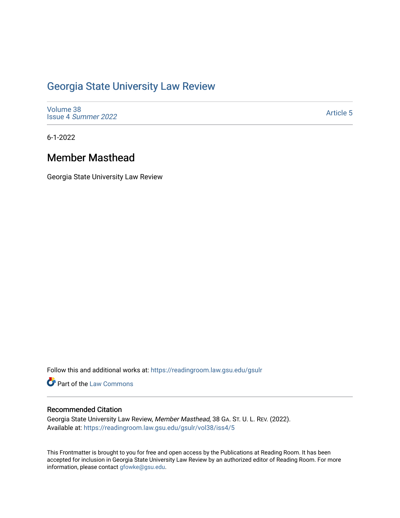# [Georgia State University Law Review](https://readingroom.law.gsu.edu/gsulr)

[Volume 38](https://readingroom.law.gsu.edu/gsulr/vol38) Issue 4 [Summer 2022](https://readingroom.law.gsu.edu/gsulr/vol38/iss4) 

[Article 5](https://readingroom.law.gsu.edu/gsulr/vol38/iss4/5) 

6-1-2022

## Member Masthead

Georgia State University Law Review

Follow this and additional works at: [https://readingroom.law.gsu.edu/gsulr](https://readingroom.law.gsu.edu/gsulr?utm_source=readingroom.law.gsu.edu%2Fgsulr%2Fvol38%2Fiss4%2F5&utm_medium=PDF&utm_campaign=PDFCoverPages) 

Part of the [Law Commons](https://network.bepress.com/hgg/discipline/578?utm_source=readingroom.law.gsu.edu%2Fgsulr%2Fvol38%2Fiss4%2F5&utm_medium=PDF&utm_campaign=PDFCoverPages)

### Recommended Citation

Georgia State University Law Review, Member Masthead, 38 GA. ST. U. L. REV. (2022). Available at: [https://readingroom.law.gsu.edu/gsulr/vol38/iss4/5](https://readingroom.law.gsu.edu/gsulr/vol38/iss4/5?utm_source=readingroom.law.gsu.edu%2Fgsulr%2Fvol38%2Fiss4%2F5&utm_medium=PDF&utm_campaign=PDFCoverPages)

This Frontmatter is brought to you for free and open access by the Publications at Reading Room. It has been accepted for inclusion in Georgia State University Law Review by an authorized editor of Reading Room. For more information, please contact [gfowke@gsu.edu.](mailto:gfowke@gsu.edu)